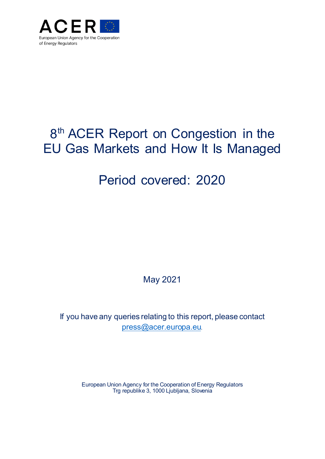

# 8<sup>th</sup> ACER Report on Congestion in the EU Gas Markets and How It Is Managed

## Period covered: 2020

**May 2021** 

If you have any queries relating to this report, please contact press@acer.europa.eu.

> European Union Agency for the Cooperation of Energy Regulators Trg republike 3, 1000 Ljubljana, Slovenia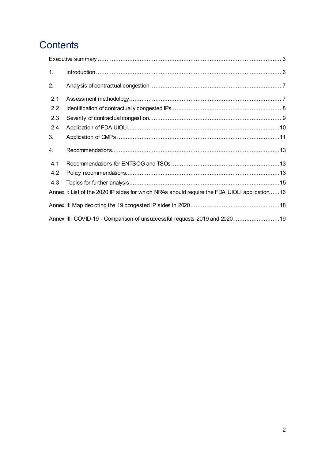## Contents

| 1.  |                                                                                              |
|-----|----------------------------------------------------------------------------------------------|
| 2.  |                                                                                              |
| 2.1 |                                                                                              |
| 2.2 |                                                                                              |
| 2.3 |                                                                                              |
| 2.4 |                                                                                              |
| 3.  |                                                                                              |
| 4.  |                                                                                              |
| 4.1 |                                                                                              |
| 4.2 |                                                                                              |
| 4.3 |                                                                                              |
|     | Annex I: List of the 2020 IP sides for which NRAs should require the FDA UIOLI application16 |
|     |                                                                                              |
|     | Annex III: COVID-19 - Comparison of unsuccessful requests 2019 and 202019                    |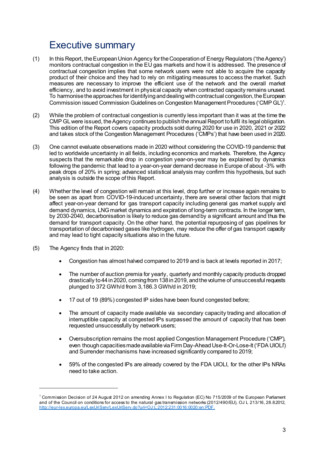### **Executive summary**

- $(1)$ In this Report, the European Union Agency for the Cooperation of Energy Regulators ('the Agency') monitors contractual congestion in the EU gas markets and how it is addressed. The presence of contractual congestion implies that some network users were not able to acquire the capacity product of their choice and they had to rely on mitigating measures to access the market. Such measures are necessary to improve the efficient use of the network and the overall market efficiency, and to avoid investment in physical capacity when contracted capacity remains unused. To harmonise the approaches for identifying and dealing with contractual congestion, the European Commission issued Commission Guidelines on Congestion Management Procedures ('CMP GL')<sup>1</sup>.
- $(2)$ While the problem of contractual congestion is currently less important than it was at the time the CMP GL were issued, the Agency continues to publish the annual Report to fulfil its legal obligation. This edition of the Report covers capacity products sold during 2020 for use in 2020, 2021 or 2022 and takes stock of the Congestion Management Procedures ('CMPs') that have been used in 2020.
- $(3)$ One cannot evaluate observations made in 2020 without considering the COVID-19 pandemic that led to worldwide uncertainty in all fields, including economics and markets. Therefore, the Agency suspects that the remarkable drop in congestion year-on-year may be explained by dynamics following the pandemic that lead to a year-on-year demand decrease in Europe of about -3% with peak drops of 20% in spring; advanced statistical analysis may confirm this hypothesis, but such analysis is outside the scope of this Report.
- $(4)$ Whether the level of congestion will remain at this level, drop further or increase again remains to be seen as apart from COVID-19-induced uncertainty, there are several other factors that might affect year-on-year demand for gas transport capacity including general gas market supply and demand dynamics, LNG market dynamics and expiration of long-term contracts. In the longer term, by 2030-2040, decarbonisation is likely to reduce gas demand by a significant amount and thus the demand for transport capacity. On the other hand, the potential repurposing of gas pipelines for transportation of decarbonised gases like hydrogen, may reduce the offer of gas transport capacity and may lead to tight capacity situations also in the future.
- The Agency finds that in 2020:  $(5)$ 
	- Congestion has almost halved compared to 2019 and is back at levels reported in 2017;
	- The number of auction premia for yearly, quarterly and monthly capacity products dropped drastically to 44 in 2020, coming from 138 in 2019, and the volume of unsuccessful requests plunged to 372 GWh/d from 3,186.3 GWh/d in 2019;
	- 17 out of 19 (89%) congested IP sides have been found congested before;
	- The amount of capacity made available via secondary capacity trading and allocation of interruptible capacity at congested IPs surpassed the amount of capacity that has been requested unsuccessfully by network users;
	- Oversubscription remains the most applied Congestion Management Procedure ('CMP'), even though capacities made available via Firm Day-Ahead Use-It-Or-Lose-It ('FDA UIOLI') and Surrender mechanisms have increased significantly compared to 2019;
	- 59% of the congested IPs are already covered by the FDA UIOLI, for the other IPs NRAs need to take action.

<sup>&</sup>lt;sup>1</sup> Commission Decision of 24 August 2012 on amending Annex I to Regulation (EC) No 715/2009 of the European Parliament and of the Council on conditions for access to the natural gas transmission networks (2012/490/EU), OJ L 213/16, 28.8.2012, http://eur-lex.europa.eu/LexUriServ/LexUriServ.do?uri=OJ:L:2012:231:0016:0020:en:PDF.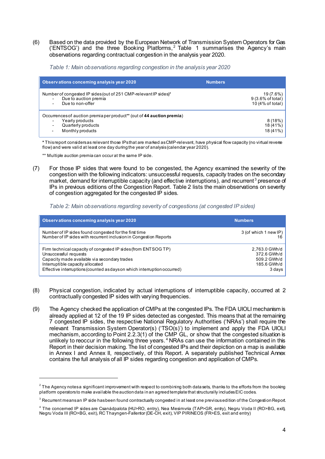$(6)$ Based on the data provided by the European Network of Transmission System Operators for Gas ('ENTSOG') and the three Booking Platforms,<sup>2</sup> Table 1 summarises the Agency's main observations regarding contractual congestion in the analysis year 2020.

Table 1: Main observations regarding congestion in the analysis year 2020

| Observations conceming analysis year 2020                                                                                                      | <b>Numbers</b>                                                            |
|------------------------------------------------------------------------------------------------------------------------------------------------|---------------------------------------------------------------------------|
| Number of congested IP sides (out of 251 CMP-relevant IP sides)*<br>Due to auction premia<br>Due to non-offer                                  | 19 $(7.6%)$<br>$9(3.6\% \text{ of total})$<br>10 $(4\% \text{ of total})$ |
| Occurrences of auction premiaper product <sup>**</sup> (out of 44 auction premia)<br>Yearly products<br>Quarterly products<br>Monthly products | 8(18%)<br>$18(41\%)$<br>$18(41\%)$                                        |

\* This report considers as relevant those IPs that are marked as CMP-relevant, have physical flow capacity (no virtual reverse flow) and were valid at least one day during the year of analysis (calendar year 2020).

\*\* Multiple auction premia can occur at the same IP side.

For those IP sides that were found to be congested, the Agency examined the severity of the  $(7)$ congestion with the following indicators: unsuccessful requests, capacity trades on the secondary market, demand for interruptible capacity (and effective interruptions), and recurrent<sup>3</sup> presence of IPs in previous editions of the Congestion Report. Table 2 lists the main observations on severity of congestion aggregated for the congested IP sides.

#### Table 2: Main observations regarding severity of congestions (at congested IP sides)

| Observations conceming analysis year 2020                                                                                                                                                                                                               | <b>Numbers</b>                                                       |
|---------------------------------------------------------------------------------------------------------------------------------------------------------------------------------------------------------------------------------------------------------|----------------------------------------------------------------------|
| Number of IP sides found congested for the first time<br>Number of IP sides with recurrent inclusion in Congestion Reports                                                                                                                              | 3 (of which 1 new IP)                                                |
| Firm technical capacity of congested IP sides (from ENTSOG TP)<br>Unsuccessful requests<br>Capacity made available via secondary trades<br>Interruptible capacity allocated<br>Effective interruptions (counted as days on which interruption occurred) | 2,763.0 GWh/d<br>372.6 GWh/d<br>509.2 GWh/d<br>185.6 GWh/d<br>3 days |

- $(8)$ Physical congestion, indicated by actual interruptions of interruptible capacity, occurred at 2 contractually congested IP sides with varying frequencies.
- The Agency checked the application of CMPs at the congested IPs. The FDA UIOLI mechanism is  $(9)$ already applied at 12 of the 19 IP sides detected as congested. This means that at the remaining 7 congested IP sides, the respective National Regulatory Authorities ('NRAs') shall require the relevant Transmission System Operator(s) ('TSO(s)') to implement and apply the FDA UIOLI mechanism, according to Point 2.2.3(1) of the CMP GL, or show that the congested situation is unlikely to reoccur in the following three years.<sup>4</sup> NRAs can use the information contained in this Report in their decision making. The list of congested IPs and their depiction on a map is available in Annex I and Annex II, respectively, of this Report. A separately published Technical Annex contains the full analysis of all IP sides regarding congestion and application of CMPs.

<sup>&</sup>lt;sup>2</sup> The Agency notesa significant improvement with respect to combining both datasets, thanks to the efforts from the booking platform operators to make available the auction data in an agreed template that structurally includes EIC codes.

<sup>&</sup>lt;sup>3</sup> Recurrent meansan IP side hasbeen found contractually congested in at least one previous edition of the Congestion Report.

<sup>&</sup>lt;sup>4</sup> The concerned IP sides are Csanádpalota (HU>RO, entry), Nea Mesimvria (TAP>GR, entry), Negru Voda II (RO>BG, exit), Negru Voda III (RO>BG, exit), RC Thayngen-Fallentor (DE-CH, exit), VIP PIRINEOS (FR>ES, exit and entry)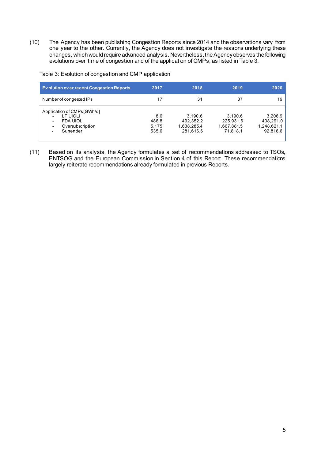$(10)$ The Agency has been publishing Congestion Reports since 2014 and the observations vary from one year to the other. Currently, the Agency does not investigate the reasons underlying these changes, which would require advanced analysis. Nevertheless, the Agency observes the following evolutions over time of congestion and of the application of CMPs, as listed in Table 3.

| Evolution over recent Congestion Reports                                                                                                                  | 2017                           | 2018                                             | 2019                                            | 2020                                            |
|-----------------------------------------------------------------------------------------------------------------------------------------------------------|--------------------------------|--------------------------------------------------|-------------------------------------------------|-------------------------------------------------|
| Number of congested IPs                                                                                                                                   | 17                             | 31                                               | 37                                              | 19                                              |
| Application of CMPs [GWh/d]<br>LT UIOLI<br><b>FDA UIOLI</b><br>-<br>Oversubscription<br>$\overline{\phantom{0}}$<br>Surrender<br>$\overline{\phantom{0}}$ | 8.6<br>486.8<br>5.175<br>535.6 | 3.190.6<br>492,352.2<br>1,638,285.4<br>281.616.6 | 3.190.6<br>225,931.6<br>1,667,881.5<br>71.818.1 | 3,206.9<br>408.291.0<br>1,248,621.1<br>92.816.6 |

Table 3: Evolution of congestion and CMP application

Based on its analysis, the Agency formulates a set of recommendations addressed to TSOs,  $(11)$ ENTSOG and the European Commission in Section 4 of this Report. These recommendations largely reiterate recommendations already formulated in previous Reports.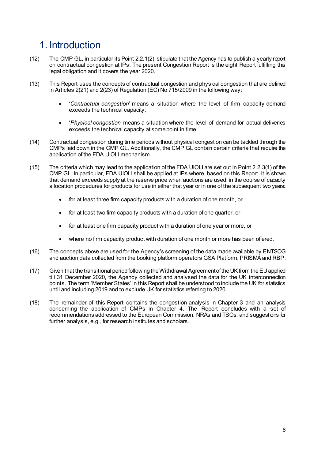### 1 Introduction

- $(12)$ The CMP GL, in particular its Point 2.2, 1(2), stipulate that the Agency has to publish a yearly report on contractual congestion at IPs. The present Congestion Report is the eight Report fulfilling this legal obligation and it covers the year 2020.
- $(13)$ This Report uses the concepts of contractual congestion and physical congestion that are defined in Articles  $2(21)$  and  $2(23)$  of Regulation (EC) No  $715/2009$  in the following way:
	- 'Contractual congestion' means a situation where the level of firm capacity demand  $\bullet$ exceeds the technical capacity;
	- 'Physical congestion' means a situation where the level of demand for actual deliveries exceeds the technical capacity at some point in time.
- Contractual congestion during time periods without physical congestion can be tackled through the  $(14)$ CMPs laid down in the CMP GL. Additionally, the CMP GL contain certain criteria that require the application of the FDA UIOLI mechanism.
- $(15)$ The criteria which may lead to the application of the FDA UIOLI are set out in Point 2.2.3(1) of the CMP GL. In particular, FDA UIOLI shall be applied at IPs where, based on this Report, it is shown that demand exceeds supply at the reserve price when auctions are used, in the course of capacity allocation procedures for products for use in either that year or in one of the subsequent two years:
	- for at least three firm capacity products with a duration of one month, or
	- for at least two firm capacity products with a duration of one quarter, or
	- for at least one firm capacity product with a duration of one year or more, or  $\bullet$
	- where no firm capacity product with duration of one month or more has been offered.
- $(16)$ The concepts above are used for the Agency's screening of the data made available by ENTSOG and auction data collected from the booking platform operators GSA Platform, PRISMA and RBP.
- $(17)$ Given that the transitional period following the Withdrawal Agreement of the UK from the EU applied till 31 December 2020, the Agency collected and analysed the data for the UK interconnection points. The term 'Member States' in this Report shall be understood to include the UK for statistics until and including 2019 and to exclude UK for statistics referring to 2020.
- $(18)$ The remainder of this Report contains the congestion analysis in Chapter 3 and an analysis concerning the application of CMPs in Chapter 4. The Report concludes with a set of recommendations addressed to the European Commission, NRAs and TSOs, and suggestions for further analysis, e.g., for research institutes and scholars.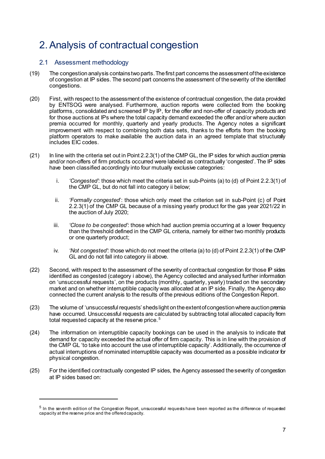### 2. Analysis of contractual congestion

### 2.1 Assessment methodology

- $(19)$ The congestion analysis contains two parts. The first part concerns the assessment of the existence of congestion at IP sides. The second part concerns the assessment of the severity of the identified congestions.
- $(20)$ First, with respect to the assessment of the existence of contractual congestion, the data provided by ENTSOG were analysed. Furthermore, auction reports were collected from the booking platforms, consolidated and screened IP by IP, for the offer and non-offer of capacity products and for those auctions at IPs where the total capacity demand exceeded the offer and/or where auction premia occurred for monthly, quarterly and yearly products. The Agency notes a significant improvement with respect to combining both data sets, thanks to the efforts from the booking platform operators to make available the auction data in an agreed template that structurally includes EIC codes.
- $(21)$ In line with the criteria set out in Point 2.2.3(1) of the CMP GL, the IP sides for which auction premia and/or non-offers of firm products occurred were labeled as contractually 'congested'. The IP sides have been classified accordingly into four mutually exclusive categories:
	- i. 'Congested': those which meet the criteria set in sub-Points (a) to (d) of Point 2.2.3(1) of the CMP GL, but do not fall into category ii below;
	- 'Formally congested': those which only meet the criterion set in sub-Point (c) of Point ii. 2.2.3(1) of the CMP GL because of a missing yearly product for the gas year 2021/22 in the auction of July 2020;
	- 'Close to be congested': those which had auction premia occurring at a lower frequency iii. than the threshold defined in the CMP GL criteria, namely for either two monthly products or one quarterly product;
	- 'Not congested': those which do not meet the criteria (a) to (d) of Point 2.2.3(1) of the CMP iv. GL and do not fall into category iii above.
- $(22)$ Second, with respect to the assessment of the severity of contractual congestion for those IP sides identified as congested (category i above), the Agency collected and analysed further information on 'unsuccessful requests', on the products (monthly, quarterly, yearly) traded on the secondary market and on whether interruptible capacity was allocated at an IP side. Finally, the Agency also connected the current analysis to the results of the previous editions of the Congestion Report.
- $(23)$ The volume of 'unsuccessful requests' sheds light on the extent of congestion where auction premia have occurred. Unsuccessful requests are calculated by subtracting total allocated capacity from total requested capacity at the reserve price.<sup>5</sup>
- $(24)$ The information on interruptible capacity bookings can be used in the analysis to indicate that demand for capacity exceeded the actual offer of firm capacity. This is in line with the provision of the CMP GL 'to take into account the use of interruptible capacity'. Additionally, the occurrence of actual interruptions of nominated interruptible capacity was documented as a possible indicator for physical congestion.
- $(25)$ For the identified contractually congested IP sides, the Agency assessed the severity of congestion at IP sides based on:

 $<sup>5</sup>$  In the seventh edition of the Congestion Report, unsuccessful requests have been reported as the difference of requested</sup> capacity at the reserve price and the offered capacity.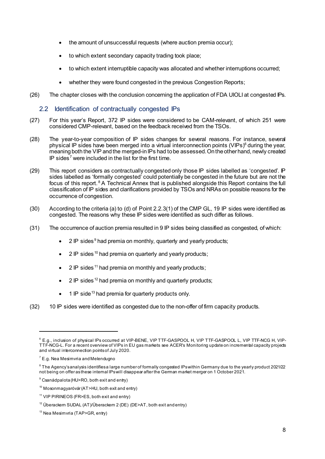- the amount of unsuccessful requests (where auction premia occur);
- to which extent secondary capacity trading took place;
- to which extent interruptible capacity was allocated and whether interruptions occurred;
- whether they were found congested in the previous Congestion Reports;
- $(26)$ The chapter closes with the conclusion concerning the application of FDA UIOLI at congested IPs.

#### $2.2$ Identification of contractually congested IPs

- For this year's Report, 372 IP sides were considered to be CAM-relevant, of which 251 were  $(27)$ considered CMP-relevant, based on the feedback received from the TSOs.
- $(28)$ The year-to-year composition of IP sides changes for several reasons. For instance, several physical IP sides have been merged into a virtual interconnection points (VIPs)<sup>6</sup> during the year, meaning both the VIP and the merged-in IPs had to be assessed. On the other hand, newly created IP sides<sup>7</sup> were included in the list for the first time.
- $(29)$ This report considers as contractually congested only those IP sides labelled as 'congested'. IP sides labelled as 'formally congested' could potentially be congested in the future but are not the focus of this report.<sup>8</sup> A Technical Annex that is published alongside this Report contains the full classification of IP sides and clarifications provided by TSOs and NRAs on possible reasons for the occurrence of congestion.
- According to the criteria (a) to (d) of Point 2.2.3(1) of the CMP GL, 19 IP sides were identified as  $(30)$ congested. The reasons why these IP sides were identified as such differ as follows.
- $(31)$ The occurrence of auction premia resulted in 9 IP sides being classified as congested, of which:
	- 2 IP sides<sup>9</sup> had premia on monthly, quarterly and yearly products;
	- 2 IP sides <sup>10</sup> had premia on quarterly and yearly products:
	- $\bullet$ 2 IP sides <sup>11</sup> had premia on monthly and yearly products;
	- 2 IP sides <sup>12</sup> had premia on monthly and quarterly products;
	- 1 IP side<sup>13</sup> had premia for quarterly products only.
- $(32)$ 10 IP sides were identified as congested due to the non-offer of firm capacity products.

<sup>&</sup>lt;sup>6</sup> E.g., inclusion of physical IPs occurred at VIP-BENE, VIP TTF-GASPOOL H, VIP TTF-GASPOOL L, VIP TTF-NCG H, VIP-TTF-NCG-L. For a recent overview of VIPs in EU gas markets see ACER's Monitoring update on incremental capacity projects and virtual interconnection points of July 2020.

 $7$  E.g. Nea Mesimvria and Melendugno

<sup>&</sup>lt;sup>8</sup> The Agency's analysis identifies a large number of formally congested IPs within Germany due to the yearly product 2021/22 not being on offer as these internal IPs will disappear after the German market merger on 1 October 2021.

<sup>&</sup>lt;sup>9</sup> Csanádpalota (HU>RO, both exit and entry)

<sup>&</sup>lt;sup>10</sup> Mosonmagyaróvár (AT>HU, both exit and entry)

<sup>&</sup>lt;sup>11</sup> VIP PIRINEOS (FR>ES, both exit and entry)

 $12$  Überackern SUDAL (AT)/Überackern 2 (DE) (DE>AT, both exit and entry)

<sup>&</sup>lt;sup>13</sup> Nea Mesimvria (TAP>GR, entry)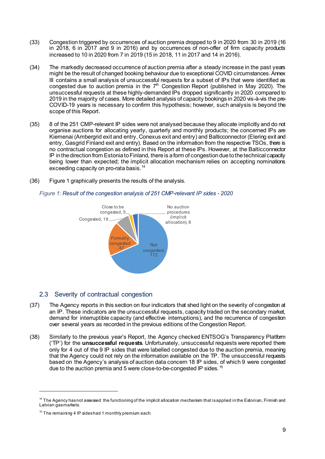- Congestion triggered by occurrences of auction premia dropped to 9 in 2020 from 30 in 2019 (16  $(33)$ in 2018, 6 in 2017 and 9 in 2016) and by occurrences of non-offer of firm capacity products increased to 10 in 2020 from 7 in 2019 (15 in 2018, 11 in 2017 and 14 in 2016).
- The markedly decreased occurrence of auction premia after a steady increase in the past years  $(34)$ might be the result of changed booking behaviour due to exceptional COVID circumstances. Annex III contains a small analysis of unsuccessful requests for a subset of IPs that were identified as congested due to auction premia in the 7<sup>th</sup> Congestion Report (published in May 2020). The unsuccessful requests at these highly-demanded IPs dropped significantly in 2020 compared to 2019 in the majority of cases. More detailed analysis of capacity bookings in 2020 vis-à-vis the pre-COVID-19 years is necessary to confirm this hypothesis; however, such analysis is beyond the scope of this Report.
- 8 of the 251 CMP-relevant IP sides were not analysed because they allocate implicitly and do not  $(35)$ organise auctions for allocating yearly, quarterly and monthly products; the concerned IPs are Kiemenai (Ambergrid exit and entry, Conexus exit and entry) and Balticconnector (Elering exit and entry, Gasgrid Finland exit and entry). Based on the information from the respective TSOs, there is no contractual congestion as defined in this Report at these IPs. However, at the Balticconnector IP in the direction from Estonia to Finland, there is a form of congestion due to the technical capacity being lower than expected; the implicit allocation mechanism relies on accepting nominations exceeding capacity on pro-rata basis.<sup>14</sup>
- $(36)$ Figure 1 graphically presents the results of the analysis.



Figure 1: Result of the congestion analysis of 251 CMP-relevant IP sides - 2020

### 2.3 Severity of contractual congestion

- The Agency reports in this section on four indicators that shed light on the severity of congestion at  $(37)$ an IP. These indicators are the unsuccessful requests, capacity traded on the secondary market, demand for interruptible capacity (and effective interruptions), and the recurrence of congestion over several years as recorded in the previous editions of the Congestion Report.
- Similarly to the previous year's Report, the Agency checked ENTSOG's Transparency Platform  $(38)$ ('TP') for the **unsuccessful requests**. Unfortunately, unsuccessful requests were reported there only for 4 out of the 9 IP sides that were labelled congested due to the auction premia, meaning that the Agency could not rely on the information available on the TP. The unsuccessful requests based on the Agency's analysis of auction data concern 18 IP sides, of which 9 were congested due to the auction premia and 5 were close-to-be-congested IP sides. 15

<sup>&</sup>lt;sup>14</sup> The Agency hasnot assessed the functioning of the implicit allocation mechanism that is applied in the Estonian, Finnish and Latvian gasmarkets.

<sup>&</sup>lt;sup>15</sup> The remaining 4 IP sideshad 1 monthly premium each.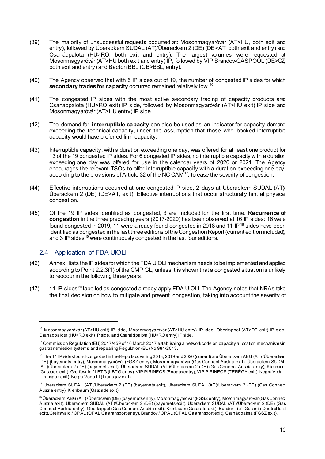- $(39)$ The majority of unsuccessful requests occurred at: Mosonmagyaróvár (AT>HU, both exit and entry), followed by Überackern SUDAL (AT)/Überackern 2 (DE) (DE>AT, both exit and entry) and Csanádpalota (HU>RO, both exit and entry). The largest volumes were requested at Mosonmagyaróvár (AT>HU both exit and entry) IP, followed by VIP Brandov-GASPOOL (DE>CZ, both exit and entry) and Bacton BBL (GB>BBL, entry).
- $(40)$ The Agency observed that with 5 IP sides out of 19, the number of congested IP sides for which secondary trades for capacity occurred remained relatively low. 16
- $(41)$ The congested IP sides with the most active secondary trading of capacity products are: Csanádpalota (HU>RO exit) IP side, followed by Mosonmagyaróvár (AT>HU exit) IP side and Mosonmagyaróvár (AT>HU entry) IP side.
- $(42)$ The demand for interruptible capacity can also be used as an indicator for capacity demand exceeding the technical capacity, under the assumption that those who booked interruptible capacity would have preferred firm capacity.
- $(43)$ Interruptible capacity, with a duration exceeding one day, was offered for at least one product for 13 of the 19 congested IP sides. For 6 congested IP sides, no interruptible capacity with a duration exceeding one day was offered for use in the calendar years of 2020 or 2021. The Agency encourages the relevant TSOs to offer interruptible capacity with a duration exceeding one day. according to the provisions of Article 32 of the NC CAM<sup>17</sup>, to ease the severity of congestion.
- $(44)$ Effective interruptions occurred at one congested IP side, 2 days at Überackern SUDAL (AT) Überackern 2 (DE) (DE>AT, exit). Effective interruptions that occur structurally hint at physical congestion.
- Of the 19 IP sides identified as congested, 3 are included for the first time. Recurrence of  $(45)$ congestion in the three preceding years (2017-2020) has been observed at 16 IP sides: 16 were found congested in 2019, 11 were already found congested in 2018 and 11 IP<sup>18</sup> sides have been identified as congested in the last three editions of the Congestion Report (current edition included), and 3 IP sides <sup>19</sup> were continuously congested in the last four editions.

#### 2.4 Application of FDA UIOLI

- $(46)$ Annex I lists the IP sides for which the FDA UIOLI mechanism needs to be implemented and applied according to Point 2.2.3(1) of the CMP GL, unless it is shown that a congested situation is unlikely to reoccur in the following three years.
- 11 IP sides<sup>20</sup> labelled as congested already apply FDA UIOLI. The Agency notes that NRAs take  $(47)$ the final decision on how to mitigate and prevent congestion, taking into account the severity of

<sup>&</sup>lt;sup>16</sup> Mosonmagyaróvár (AT>HU exit) IP side, Mosonmagyaróvár (AT>HU entry) IP side, Oberkappel (AT>DE exit) IP side, Csanádpalota (HU>RO exit) IP side, and Csanádpalota (HU>RO entry) IP side.

<sup>&</sup>lt;sup>17</sup> Commission Requlation (EU) 2017/459 of 16 March 2017 establishing a network code on capacity allocation mechanisms in gas transmission systems and repealing Regulation (EU) No 984/2013.

 $18$  The 11 IP sides found congested in the Reports covering 2018, 2019 and 2020 (current) are Überackern ABG (AT)/Überackem (DE) (bayernets entry), Mosonmagyaróvár (FGSZ entry), Mosonmagyaróvár (Gas Connect Austria exit), Überackern SUDAL (AT)/Ùberackern 2 (DÉ) (bayernets exit), Überackern SÚDAL (AT)/Überackern 2 (DE) (Gas Connect Austria entry), Kienbaum (Gascade exit), Greifswald / LBTG (LBTG entry), VIP PIRINEOS (Enagas entry), VIP PIRINEOS (TERÉGA exit), Negru Voda II (Transgaz exit), Negru Voda III (Transgaz exit).

<sup>&</sup>lt;sup>19</sup> Überackem SUDAL (AT)/Überackern 2 (DE) (bayernets exit), Überackern SUDAL (AT)/Überackern 2 (DE) (Gas Connect Austria entry), Kienbaum (Gascade exit).

<sup>&</sup>lt;sup>20</sup> Überackern ABG (AT) /Überackern (DE) (bayernetsentry), Mosonmagyaróvár (FGSZ entry), Mosonmagyaróvár (GasConnect Austria exit), Überackem SUDAL (AT)/Überackem 2 (DE) (bayernets exit), Überackem SUDAL (AT)/Überackem 2 (DE) (Gas Connect Austria entry), Oberkappel (Gas Connect Austria exit), Kienbaum (Gascade exit), Bunder-Tief (Gasunie Deutschland exit), Greifswald / OPÁL (OPAL Gastransport entry), Brandov / OPAL (OPAL Gastransport exit), Csanádpalota (FGSZ exit).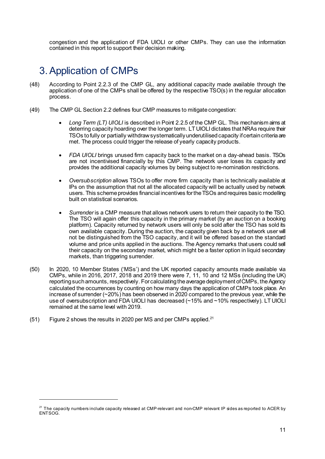congestion and the application of FDA UIOLI or other CMPs. They can use the information contained in this report to support their decision making.

### 3. Application of CMPs

- $(48)$ According to Point 2.2.3 of the CMP GL, any additional capacity made available through the application of one of the CMPs shall be offered by the respective TSO(s) in the regular allocation process.
- $(49)$ The CMP GL Section 2.2 defines four CMP measures to mitigate congestion:
	- Long Term (LT) UIOLI is described in Point 2.2.5 of the CMP GL. This mechanism aims at deterring capacity hoarding over the longer term. LT UIOLI dictates that NRAs require their TSOs to fully or partially withdraw systematically underutilised capacity if certain criteria are met. The process could trigger the release of yearly capacity products.
	- FDA UIOLI brings unused firm capacity back to the market on a day-ahead basis. TSOs are not incentivised financially by this CMP. The network user loses its capacity and provides the additional capacity volumes by being subject to re-nomination restrictions.
	- Oversubscription allows TSOs to offer more firm capacity than is technically available at IPs on the assumption that not all the allocated capacity will be actually used by network users. This scheme provides financial incentives for the TSOs and requires basic modelling built on statistical scenarios.
	- Surrender is a CMP measure that allows network users to return their capacity to the TSO. The TSO will again offer this capacity in the primary market (by an auction on a booking platform). Capacity returned by network users will only be sold after the TSO has sold its own available capacity. During the auction, the capacity given back by a network user will not be distinguished from the TSO capacity, and it will be offered based on the standard volume and price units applied in the auctions. The Agency remarks that users could sell their capacity on the secondary market, which might be a faster option in liquid secondary markets, than triggering surrender.
- $(50)$ In 2020, 10 Member States ('MSs') and the UK reported capacity amounts made available via CMPs, while in 2016, 2017, 2018 and 2019 there were 7, 11, 10 and 12 MSs (including the UK) reporting such amounts, respectively. For calculating the average deployment of CMPs, the Agency calculated the occurrences by counting on how many days the application of CMPs took place. An increase of surrender (~20%) has been observed in 2020 compared to the previous year, while the use of oversubscription and FDA UIOLI has decreased (~15% and ~10% respectively). LT UIOLI remained at the same level with 2019.
- Figure 2 shows the results in 2020 per MS and per CMPs applied.<sup>21</sup>  $(51)$

<sup>&</sup>lt;sup>21</sup> The capacity numbers include capacity released at CMP-relevant and non-CMP relevant IP sides as reported to ACER by ENTSOG.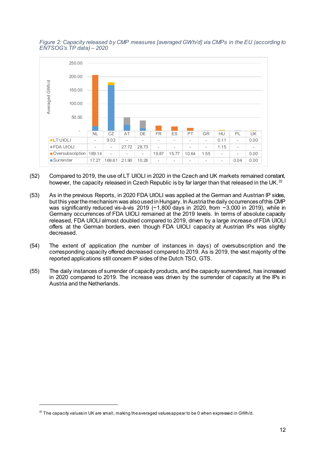#### Figure 2: Capacity released by CMP measures [averaged GWh/d] via CMPs in the EU (according to  $ENTSOG's TP data - 2020$



- $(52)$ Compared to 2019, the use of LT UIOLI in 2020 in the Czech and UK markets remained constant, however, the capacity released in Czech Republic is by far larger than that released in the UK.<sup>22</sup>
- As in the previous Reports, in 2020 FDA UIOLI was applied at the German and Austrian IP sides,  $(53)$ but this year the mechanism was also used in Hungary. In Austria the daily occurrences of this CMP was significantly reduced vis-à-vis 2019 (~1,800 days in 2020, from  $\sim$ 3,000 in 2019), while in Germany occurrences of FDA UIOLI remained at the 2019 levels. In terms of absolute capacity released. FDA UIOLI almost doubled compared to 2019, driven by a large increase of FDA UIOLI offers at the German borders, even though FDA UIOLI capacity at Austrian IPs was slightly decreased.
- $(54)$ The extent of application (the number of instances in days) of oversubscription and the corresponding capacity offered decreased compared to 2019. As is 2019, the vast majority of the reported applications still concern IP sides of the Dutch TSO, GTS.
- $(55)$ The daily instances of surrender of capacity products, and the capacity surrendered, has increased in 2020 compared to 2019. The increase was driven by the surrender of capacity at the IPs in Austria and the Netherlands

 $^{22}$  The capacity values in UK are small, making the averaged values appear to be 0 when expressed in GWh/d.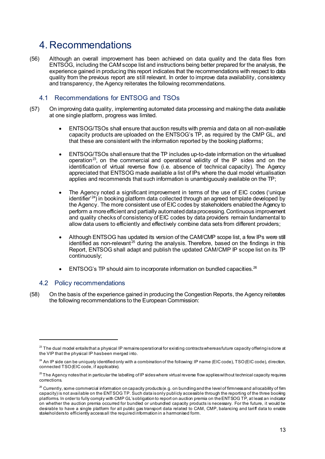### 4 Recommendations

Although an overall improvement has been achieved on data quality and the data files from  $(56)$ ENTSOG, including the CAM scope list and instructions being better prepared for the analysis, the experience gained in producing this report indicates that the recommendations with respect to data quality from the previous report are still relevant. In order to improve data availability, consistency and transparency, the Agency reiterates the following recommendations.

#### 4.1 Recommendations for ENTSOG and TSOs

- On improving data quality, implementing automated data processing and making the data available  $(57)$ at one single platform, progress was limited.
	- ENTSOG/TSOs shall ensure that auction results with premia and data on all non-available capacity products are uploaded on the ENTSOG's TP, as required by the CMP GL, and that these are consistent with the information reported by the booking platforms:
	- ENTSOG/TSOs shall ensure that the TP includes up-to-date information on the virtualised operation<sup>23</sup>, on the commercial and operational validity of the IP sides and on the identification of virtual reverse flow (i.e. absence of technical capacity). The Agency appreciated that ENTSOG made available a list of IPs where the dual model virtualisation applies and recommends that such information is unambiquously available on the TP;
	- The Agency noted a significant improvement in terms of the use of EIC codes ('unique identifier<sup>24</sup>) in booking platform data collected through an agreed template developed by the Agency. The more consistent use of EIC codes by stakeholders enabled the Agency to perform a more efficient and partially automated data processing. Continuous improvement and quality checks of consistency of EIC codes by data providers remain fundamental to allow data users to efficiently and effectively combine data sets from different providers;
	- Although ENTSOG has updated its version of the CAM/CMP scope list, a few IPs were still identified as non-relevant<sup>25</sup> during the analysis. Therefore, based on the findings in this Report, ENTSOG shall adapt and publish the updated CAM/CMP IP scope list on its TP continuously;
	- ENTSOG's TP should aim to incorporate information on bundled capacities.<sup>26</sup>

#### 4.2 Policy recommendations

 $(58)$ On the basis of the experience gained in producing the Congestion Reports, the Agency reiterates the following recommendations to the European Commission:

<sup>&</sup>lt;sup>23</sup> The dual model entailsthat a physical IP remains operational for existing contracts whereas future capacity offering is done at the VIP that the physical IP has been merged into.

<sup>&</sup>lt;sup>24</sup> An IP side can be uniquely identified only with a combination of the following: IP name (EIC code), TSO (EIC code), direction, connected TSO (EIC code, if applicable).

<sup>&</sup>lt;sup>25</sup> The Agency notes that in particular the labelling of IP sides where virtual reverse flow applies without technical capacity requires corrections.

<sup>&</sup>lt;sup>26</sup> Currently, some commercial information on capacity products (e.g. on bundling and the level of firmness and allocability of firm capacity) is not available on the ENTSOG TP. Such data is only publicly accessible through the reporting of the three booking platforms. In order to fully comply with CMP GL'sobligation to report on auction premia on the ENTSOG TP, at least an indicator on whether the auction premia occurred for bundled or unbundled capacity products is necessary. For the future, it would be desirable to have a single platform for all public gas transport data related to CAM, CMP, balancing and tariff data to enable stakeholders to efficiently access all the required information in a harmonised form.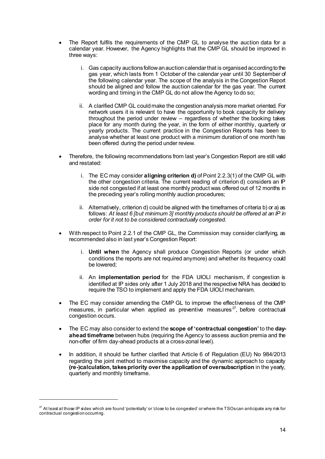- The Report fulfils the requirements of the CMP GL to analyse the auction data for a calendar year. However, the Agency highlights that the CMP GL should be improved in three ways:
	- i. Gas capacity auctions follow an auction calendar that is organised according to the gas year, which lasts from 1 October of the calendar year until 30 September of the following calendar year. The scope of the analysis in the Congestion Report should be aligned and follow the auction calendar for the gas year. The current wording and timing in the CMP GL do not allow the Agency to do so;
	- ii. A clarified CMP GL could make the congestion analysis more market oriented. For network users it is relevant to have the opportunity to book capacity for delivery throughout the period under review – regardless of whether the booking takes place for any month during the year, in the form of either monthly, quarterly or yearly products. The current practice in the Congestion Reports has been to analyse whether at least one product with a minimum duration of one month has been offered during the period under review.
- Therefore, the following recommendations from last year's Congestion Report are still valid and restated:
	- i. The EC may consider aligning criterion d) of Point 2.2.3(1) of the CMP GL with the other congestion criteria. The current reading of criterion d) considers an IP side not congested if at least one monthly product was offered out of 12 months in the preceding year's rolling monthly auction procedures;
	- ii. Alternatively, criterion d) could be aligned with the timeframes of criteria b) or a) as follows: At least 6 [but minimum 3] monthly products should be offered at an IP in order for it not to be considered contractually congested.
- With respect to Point 2.2.1 of the CMP GL, the Commission may consider clarifying, as recommended also in last year's Congestion Report:
	- i. Until when the Agency shall produce Congestion Reports (or under which conditions the reports are not required anymore) and whether its frequency could be lowered;
	- ii. An implementation period for the FDA UIOLI mechanism, if congestion is identified at IP sides only after 1 July 2018 and the respective NRA has decided to require the TSO to implement and apply the FDA UIOLI mechanism.
- The EC may consider amending the CMP GL to improve the effectiveness of the CMP  $\bullet$ measures, in particular when applied as preventive measures<sup>27</sup>, before contractual congestion occurs.
- The EC may also consider to extend the scope of 'contractual congestion' to the dayahead timeframe between hubs (requiring the Agency to assess auction premia and the non-offer of firm day-ahead products at a cross-zonal level).
- In addition, it should be further clarified that Article 6 of Regulation (EU) No 984/2013 regarding the joint method to maximise capacity and the dynamic approach to capacity (re-)calculation, takes priority over the application of oversubscription in the yearly, quarterly and monthly timeframe.

<sup>&</sup>lt;sup>27</sup> At least at those IP sides which are found 'potentially' or 'close to be congested' or where the TSOs can anticipate any risk for contractual congestion occurring.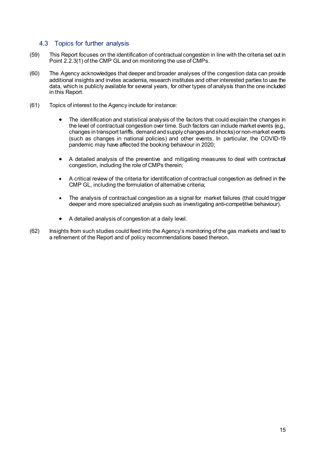#### 4.3 Topics for further analysis

- $(59)$ This Report focuses on the identification of contractual congestion in line with the criteria set out in Point 2.2.3(1) of the CMP GL and on monitoring the use of CMPs.
- $(60)$ The Agency acknowledges that deeper and broader analyses of the congestion data can provide additional insights and invites academia, research institutes and other interested parties to use the data, which is publicly available for several years, for other types of analysis than the one included in this Report.
- $(61)$ Topics of interest to the Agency include for instance:
	- The identification and statistical analysis of the factors that could explain the changes in the level of contractual congestion over time. Such factors can include market events (e.g., changes in transport tariffs, demand and supply changes and shocks) or non-market events (such as changes in national policies) and other events. In particular, the COVID-19 pandemic may have affected the booking behaviour in 2020;
	- A detailed analysis of the preventive and mitigating measures to deal with contractual congestion, including the role of CMPs therein;
	- A critical review of the criteria for identification of contractual congestion as defined in the CMP GL, including the formulation of alternative criteria;
	- The analysis of contractual congestion as a signal for market failures (that could trigger deeper and more specialized analysis such as investigating anti-competitive behaviour).
	- A detailed analysis of congestion at a daily level.
- $(62)$ Insights from such studies could feed into the Agency's monitoring of the gas markets and lead to a refinement of the Report and of policy recommendations based thereon.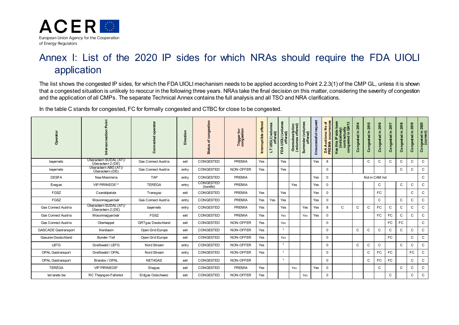

### Annex I: List of the 2020 IP sides for which NRAs should require the FDA UIOLI application

The list shows the congested IP sides, for which the FDA UIOLI mechanism needs to be applied according to Point 2.2.3(1) of the CMP GL, unless it is shown that a congested situation is unlikely to reoccur in the following three years. NRAs take the final decision on this matter, considering the severity of congestion and the application of all CMPs. The separate Technical Annex contains the full analysis and all TSO and NRA clarifications.

In the table C stands for congested, FC for formally congested and CTBC for close to be congested.

| Operator                    | Point                                       | රි                                         | Direction | congestion<br>đ<br>U)<br><b>Statu</b> | Trigger for<br>congestion | Interruptible offered | LT UIOLI (volumes<br>offered) | FDA UIOLI (volumes<br>offered) | Oversubscription<br>(volumes offered) | Surrender (volumes<br>offered) | Unsuccessful request | DA Auctions: No of<br>PREMIA occurrences | 9er<br>ା⊌<br>ଘ4/13<br>$rac{5}{9}$<br>s this IP side<br>(indicatively<br>contractua<br>congested in<br>Has | 2014<br>$\Xi$<br>ongested<br>ပ | 2015<br>ongested in | 2016<br>Congested in | 2017<br>Congested in | 2018<br>Congested in | 2019<br>Congested in | 2020<br>Congested in 2<br>(current) |
|-----------------------------|---------------------------------------------|--------------------------------------------|-----------|---------------------------------------|---------------------------|-----------------------|-------------------------------|--------------------------------|---------------------------------------|--------------------------------|----------------------|------------------------------------------|-----------------------------------------------------------------------------------------------------------|--------------------------------|---------------------|----------------------|----------------------|----------------------|----------------------|-------------------------------------|
| bayernets                   | Uberackern SUDAL (AT)/<br>Überackern 2 (DE) | Gas Connect Austria                        | exit      | CONGESTED                             | PREMIA                    | Yes                   |                               | Yes                            |                                       |                                | Yes                  | 8                                        |                                                                                                           |                                | $\mathsf{C}$        | C                    | $\mathsf C$          | $\mathsf C$          | C                    | $\mathsf{C}$                        |
| bayernets                   | Uberackern ABG (AT)/<br>Überackern (DE)     | Gas Connect Austria                        | entry     | CONGESTED                             | NON-OFFER                 | Yes                   |                               | Yes                            |                                       |                                |                      | $\mathbf 0$                              |                                                                                                           |                                |                     |                      |                      | $\mathtt{C}$         | C                    | $\mathsf{C}$                        |
| <b>DESFA</b>                | Nea Mesimwia                                | <b>TAP</b><br>CONGESTED<br>PREMIA<br>entry |           |                                       |                           |                       |                               |                                |                                       | Yes                            | $\Omega$             |                                          |                                                                                                           |                                | Not in CAM list     |                      |                      |                      | C                    |                                     |
| Enagas                      | VIP PIRINEOS <sup>1,4</sup>                 | <b>TERÉGA</b>                              | entry     | CONGESTED<br>(bundle)                 | <b>PREMIA</b>             |                       |                               |                                | Yes                                   |                                | Yes                  | $\Omega$                                 |                                                                                                           |                                |                     | C                    |                      | $\mathtt{C}$         | C                    | $\mathsf{C}$                        |
| FGSZ                        | Csanádpalota                                | Transgaz                                   | exit      | CONGESTED                             | <b>PREMIA</b>             | Yes                   |                               | Yes                            |                                       |                                | Yes                  | $\Omega$                                 |                                                                                                           |                                |                     | <b>FC</b>            |                      |                      | C                    | $\mathsf C$                         |
| FGSZ                        | Mosonmagyaróvár                             | Gas Connect Austria                        | entry     | CONGESTED                             | <b>PREMIA</b>             | Yes                   | Yes                           | Yes                            |                                       |                                | Yes                  | $\Omega$                                 |                                                                                                           |                                |                     | $\mathsf{C}$         |                      | $\mathsf{C}$         | C                    | $\mathsf{C}$                        |
| Gas Connect Austria         | Uberackern SUDAL (AT)/<br>Überackern 2 (DE) | bayernets                                  | entry     | CONGESTED                             | <b>PREMIA</b>             | Yes                   |                               | Yes                            |                                       | Yes                            | Yes                  | 8                                        | $\mathbf{C}$                                                                                              | $\mathsf C$                    | C                   | FC                   | C                    | $\mathbf C$          | C                    | $\mathsf C$                         |
| Gas Connect Austria         | Mosonmagyaróvár                             | FGSZ                                       | exit      | CONGESTED                             | PREMIA                    | Yes                   |                               | Yes                            |                                       | Yes                            | Yes                  | $\Omega$                                 |                                                                                                           |                                |                     | FC                   | FC                   | $\mathsf{C}$         | C                    | $\mathsf C$                         |
| Gas Connect Austria         | Oberkappel                                  | <b>GRTgaz Deutschland</b>                  | exit      | CONGESTED                             | NON-OFFER                 | Yes                   |                               | Yes                            |                                       |                                |                      | $\Omega$                                 |                                                                                                           |                                |                     |                      | <b>FC</b>            | FC                   |                      | $\mathsf{C}$                        |
| <b>GASCADE Gastransport</b> | Kienbaum                                    | Open Grid Europe                           | exit      | CONGESTED                             | NON-OFFER                 | Yes                   |                               | $\overline{\mathbf{3}}$        |                                       |                                |                      | $\Omega$                                 |                                                                                                           | $\mathsf{C}$                   | C                   | $\mathsf{C}$         | $\mathsf{C}$         | $\mathsf{C}$         | C                    | $\mathsf C$                         |
| Gasunie Deutschland         | <b>Bunder-Tief</b>                          | Open Grid Europe                           | exit      | CONGESTED                             | NON-OFFER                 | Yes                   |                               | Yes                            |                                       |                                |                      | $\Omega$                                 |                                                                                                           |                                |                     |                      | <b>FC</b>            |                      | C                    | C                                   |
| <b>LBTG</b>                 | Greifswald / LBTG                           | Nord Stream                                | entry     | CONGESTED                             | NON-OFFER                 | Yes                   |                               | $\overline{\mathbf{3}}$        |                                       |                                |                      | $\Omega$                                 |                                                                                                           | C                              | C                   | C                    |                      | $\mathsf{C}$         | C                    | $\mathsf{C}$                        |
| <b>OPAL Gastransport</b>    | Greifswald / OPAL                           | Nord Stream                                | entry     | CONGESTED                             | NON-OFFER                 | Yes                   |                               | $\overline{\mathbf{3}}$        |                                       |                                |                      | $\Omega$                                 |                                                                                                           |                                | C                   | FC                   | FC                   |                      | FC                   | $\mathsf{C}$                        |
| <b>OPAL Gastransport</b>    | Brandov / OPAL                              | NET4GAS                                    | exit      | CONGESTED                             | NON-OFFER                 |                       |                               | $\overline{\mathbf{3}}$        |                                       |                                |                      | $\Omega$                                 |                                                                                                           |                                | C                   | FC                   | <b>FC</b>            |                      | C                    | C                                   |
| <b>TERÉGA</b>               | VIP PIRINEOS <sup>4</sup>                   | Enagas                                     | exit      | CONGESTED                             | PREMIA                    | Yes                   |                               |                                | Yes                                   |                                | Yes                  | $\Omega$                                 |                                                                                                           |                                |                     | $\mathsf{C}$         |                      | $\mathsf{C}$         | C                    | $\mathsf{C}$                        |
| terranets bw                | RC Thayngen-Fallentor                       | Erdgas Ostschweiz                          | exit      | CONGESTED                             | NON-OFFER                 | Yes                   |                               |                                |                                       | Yes                            |                      | $\Omega$                                 |                                                                                                           |                                |                     |                      | C                    |                      | C                    | $\mathsf{C}$                        |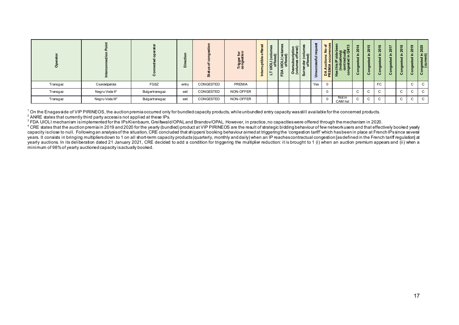| O        |                             |                | $\Box$ | $\boldsymbol{\omega}$ | Trigger for<br>congestion | $\overline{\phantom{a}}$<br>$\circ$<br>을<br>⊆<br>- | - 73<br>۳ | $\mathbf{a}$ | $=$ $\widehat{a}$<br>$\Omega$<br>$\circ$<br>$\geq$ | 9 ਰ<br>-<br>ഗ | Ξ   | 'চ প্ৰ<br>5 또 | ຕ<br>8             | ပ           | <b>LO</b><br>ន<br>르.<br>73<br>$\sigma$<br>$\ddot{\mathbf{c}}$ | ဖ<br>$\circ$<br>$\overline{N}$<br>æ<br>$\sigma$<br>۰<br>$\ddot{\mathbf{c}}$ | ~<br>ន<br>$\circ$ | $\infty$<br>ន<br>- 1<br>73<br>ರಾ<br>$\circ$<br>ပ | ຶ<br>Ŕ<br>ರಾ<br>$\circ$ | 2020<br>ا≎ ⊇.<br>ਰ ਰ<br>ngeste<br>(cur<br>$\circ$<br><u>ن</u> |
|----------|-----------------------------|----------------|--------|-----------------------|---------------------------|----------------------------------------------------|-----------|--------------|----------------------------------------------------|---------------|-----|---------------|--------------------|-------------|---------------------------------------------------------------|-----------------------------------------------------------------------------|-------------------|--------------------------------------------------|-------------------------|---------------------------------------------------------------|
| Transgaz | Csanádpalota                | FGSZ           | entry  | CONGESTED             | PREMIA                    |                                                    |           |              |                                                    |               | Yes | $\Omega$      |                    |             |                                                               | FC                                                                          |                   |                                                  | $\mathsf{C}$            | $\mathbf{C}$                                                  |
| Transgaz | Negru Voda II <sup>2</sup>  | Bulgartransgaz | exit   | CONGESTED             | NON-OFFER                 |                                                    |           |              |                                                    |               |     | $\Omega$      |                    | $\sim$<br>◡ | $\sim$                                                        | ◡                                                                           |                   | $\sim$<br>◡                                      | $\sim$                  | $\mathsf{C}$                                                  |
| Transgaz | Negru Voda III <sup>2</sup> | Bulgartransgaz | exit   | CONGESTED             | NON-OFFER                 |                                                    |           |              |                                                    |               |     | $\Omega$      | Not in<br>CAM list | ◡           | $\sim$                                                        | ◡                                                                           |                   | $\sim$<br>◡                                      |                         | $\mathsf{C}$                                                  |

<sup>1</sup> On the Enagasside of VIP PIRINEOS, the auction premia occurred only for bundled capacity products, while unbundled entry capacity was still available for the concerned products. <sup>2</sup> ANRE states that currently third party access is not applied at these IPs.

The date and cancellated for the IPs Kienbaum, Greifswald/OPAL and Brandov/OPAL. However, in practice, no capacities were offered through the mechanism in 2020.

<sup>4</sup> CRE states that the auction premia in 2019 and 2020 for the yearly (bundled) product at VIP PIRINEOS are the result of strategic bidding behaviour of few network users and that effectively booked yeally Capacity is close to null. Following an analysis of the situation, CRE concluded that shippers booking behaviour aimed at triggering the 'congestion tariff' which has been in place at French IPs since several capacity is c years. It consists in bringing multipliers down to 1 on all short-term capacity products (quarterly, monthly and daily) when an IP reaches contractual congestion lasdefined in the French tariff requlation at yearly auctions. In its deliberation dated 21 January 2021, CRE decided to add a condition for triggering the multiplier reduction: it is brought to 1 (i) when an auction premium appears and (ii) when a graded in a broad a minimum of 98% of yearly auctioned capacity is actually booked.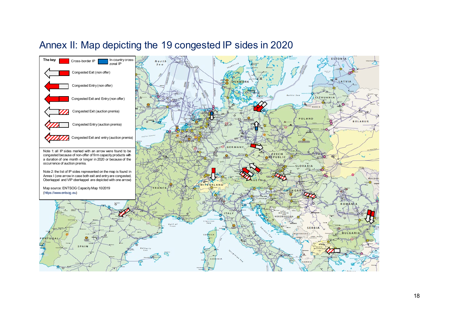### Annex II: Map depicting the 19 congested IP sides in 2020